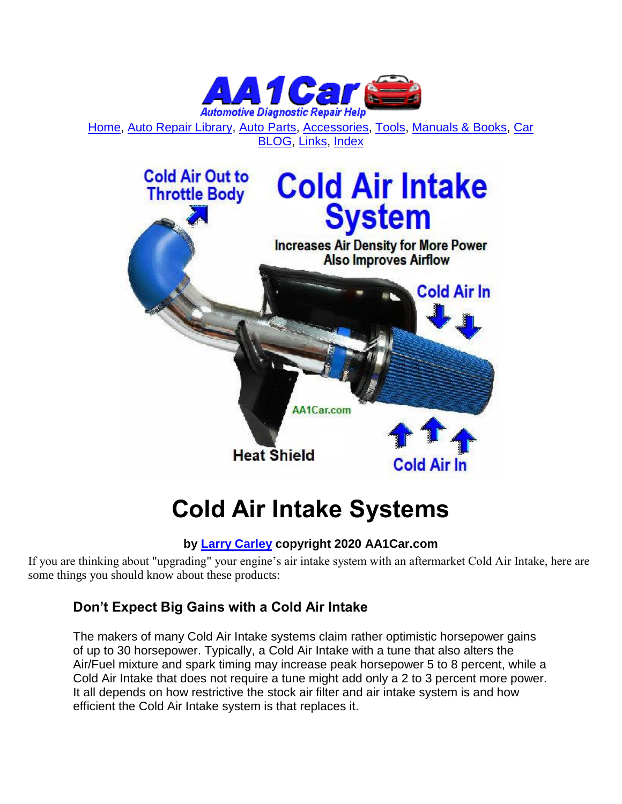

[Home,](http://www.aa1car.com/index.html) [Auto Repair Library,](http://www.aa1car.com/library.htm) [Auto Parts,](http://www.aa1car.com/links_parts.htm) [Accessories,](http://www.aa1car.com/links_accessories.htm) [Tools,](http://www.aa1car.com/links_tools.htm) [Manuals & Books,](http://www.aa1car.com/links_books.htm) [Car](http://www.aa1car.com/blog/blog.htm)  [BLOG,](http://www.aa1car.com/blog/blog.htm) [Links,](http://www.aa1car.com/links.htm) [Index](http://www.aa1car.com/index_alphabetical.htm)



# **Cold Air Intake Systems**

# **by [Larry Carley](https://www.aa1car.com/larrypage/larrycarley_photos.htm) copyright 2020 AA1Car.com**

If you are thinking about "upgrading" your engine's air intake system with an aftermarket Cold Air Intake, here are some things you should know about these products:

# **Don't Expect Big Gains with a Cold Air Intake**

The makers of many Cold Air Intake systems claim rather optimistic horsepower gains of up to 30 horsepower. Typically, a Cold Air Intake with a tune that also alters the Air/Fuel mixture and spark timing may increase peak horsepower 5 to 8 percent, while a Cold Air Intake that does not require a tune might add only a 2 to 3 percent more power. It all depends on how restrictive the stock air filter and air intake system is and how efficient the Cold Air Intake system is that replaces it.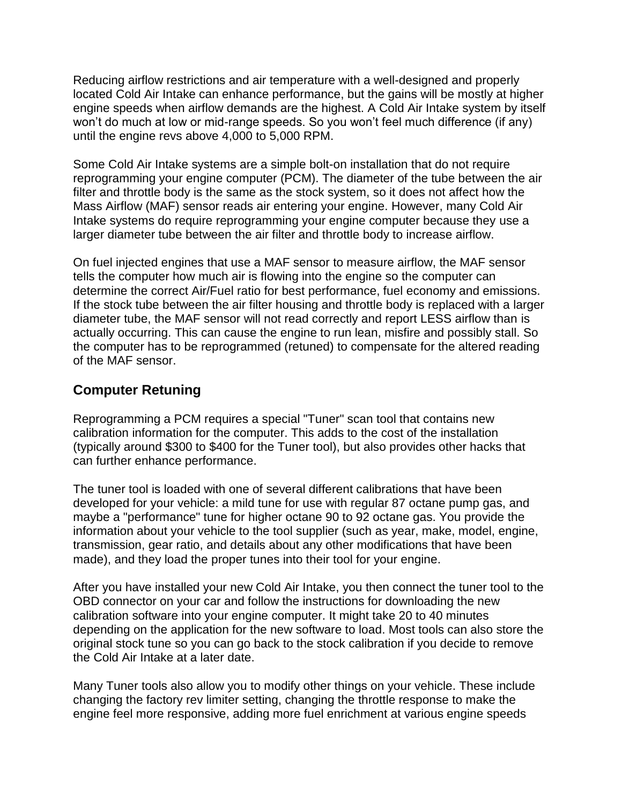Reducing airflow restrictions and air temperature with a well-designed and properly located Cold Air Intake can enhance performance, but the gains will be mostly at higher engine speeds when airflow demands are the highest. A Cold Air Intake system by itself won't do much at low or mid-range speeds. So you won't feel much difference (if any) until the engine revs above 4,000 to 5,000 RPM.

Some Cold Air Intake systems are a simple bolt-on installation that do not require reprogramming your engine computer (PCM). The diameter of the tube between the air filter and throttle body is the same as the stock system, so it does not affect how the Mass Airflow (MAF) sensor reads air entering your engine. However, many Cold Air Intake systems do require reprogramming your engine computer because they use a larger diameter tube between the air filter and throttle body to increase airflow.

On fuel injected engines that use a MAF sensor to measure airflow, the MAF sensor tells the computer how much air is flowing into the engine so the computer can determine the correct Air/Fuel ratio for best performance, fuel economy and emissions. If the stock tube between the air filter housing and throttle body is replaced with a larger diameter tube, the MAF sensor will not read correctly and report LESS airflow than is actually occurring. This can cause the engine to run lean, misfire and possibly stall. So the computer has to be reprogrammed (retuned) to compensate for the altered reading of the MAF sensor.

# **Computer Retuning**

Reprogramming a PCM requires a special "Tuner" scan tool that contains new calibration information for the computer. This adds to the cost of the installation (typically around \$300 to \$400 for the Tuner tool), but also provides other hacks that can further enhance performance.

The tuner tool is loaded with one of several different calibrations that have been developed for your vehicle: a mild tune for use with regular 87 octane pump gas, and maybe a "performance" tune for higher octane 90 to 92 octane gas. You provide the information about your vehicle to the tool supplier (such as year, make, model, engine, transmission, gear ratio, and details about any other modifications that have been made), and they load the proper tunes into their tool for your engine.

After you have installed your new Cold Air Intake, you then connect the tuner tool to the OBD connector on your car and follow the instructions for downloading the new calibration software into your engine computer. It might take 20 to 40 minutes depending on the application for the new software to load. Most tools can also store the original stock tune so you can go back to the stock calibration if you decide to remove the Cold Air Intake at a later date.

Many Tuner tools also allow you to modify other things on your vehicle. These include changing the factory rev limiter setting, changing the throttle response to make the engine feel more responsive, adding more fuel enrichment at various engine speeds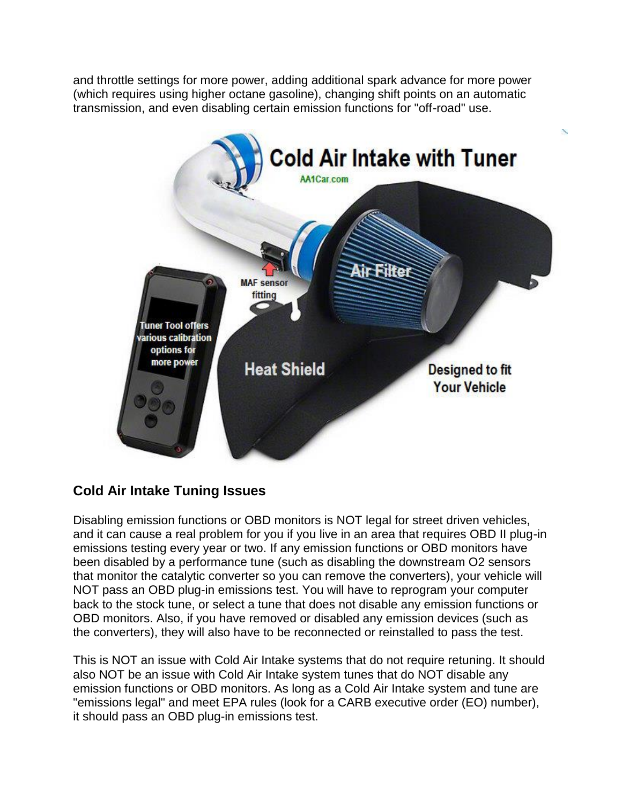and throttle settings for more power, adding additional spark advance for more power (which requires using higher octane gasoline), changing shift points on an automatic transmission, and even disabling certain emission functions for "off-road" use.



# **Cold Air Intake Tuning Issues**

Disabling emission functions or OBD monitors is NOT legal for street driven vehicles, and it can cause a real problem for you if you live in an area that requires OBD II plug-in emissions testing every year or two. If any emission functions or OBD monitors have been disabled by a performance tune (such as disabling the downstream O2 sensors that monitor the catalytic converter so you can remove the converters), your vehicle will NOT pass an OBD plug-in emissions test. You will have to reprogram your computer back to the stock tune, or select a tune that does not disable any emission functions or OBD monitors. Also, if you have removed or disabled any emission devices (such as the converters), they will also have to be reconnected or reinstalled to pass the test.

This is NOT an issue with Cold Air Intake systems that do not require retuning. It should also NOT be an issue with Cold Air Intake system tunes that do NOT disable any emission functions or OBD monitors. As long as a Cold Air Intake system and tune are "emissions legal" and meet EPA rules (look for a CARB executive order (EO) number), it should pass an OBD plug-in emissions test.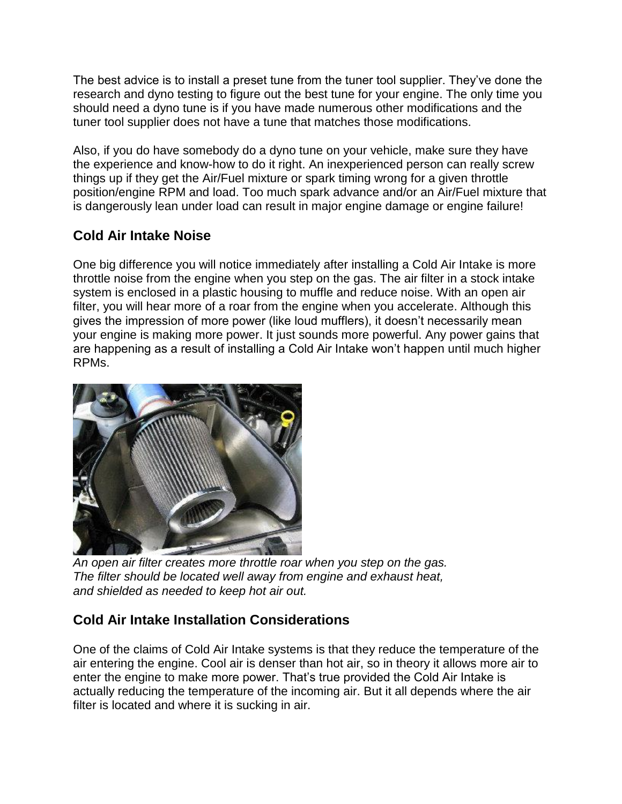The best advice is to install a preset tune from the tuner tool supplier. They've done the research and dyno testing to figure out the best tune for your engine. The only time you should need a dyno tune is if you have made numerous other modifications and the tuner tool supplier does not have a tune that matches those modifications.

Also, if you do have somebody do a dyno tune on your vehicle, make sure they have the experience and know-how to do it right. An inexperienced person can really screw things up if they get the Air/Fuel mixture or spark timing wrong for a given throttle position/engine RPM and load. Too much spark advance and/or an Air/Fuel mixture that is dangerously lean under load can result in major engine damage or engine failure!

# **Cold Air Intake Noise**

One big difference you will notice immediately after installing a Cold Air Intake is more throttle noise from the engine when you step on the gas. The air filter in a stock intake system is enclosed in a plastic housing to muffle and reduce noise. With an open air filter, you will hear more of a roar from the engine when you accelerate. Although this gives the impression of more power (like loud mufflers), it doesn't necessarily mean your engine is making more power. It just sounds more powerful. Any power gains that are happening as a result of installing a Cold Air Intake won't happen until much higher RPMs.



*An open air filter creates more throttle roar when you step on the gas. The filter should be located well away from engine and exhaust heat, and shielded as needed to keep hot air out.*

# **Cold Air Intake Installation Considerations**

One of the claims of Cold Air Intake systems is that they reduce the temperature of the air entering the engine. Cool air is denser than hot air, so in theory it allows more air to enter the engine to make more power. That's true provided the Cold Air Intake is actually reducing the temperature of the incoming air. But it all depends where the air filter is located and where it is sucking in air.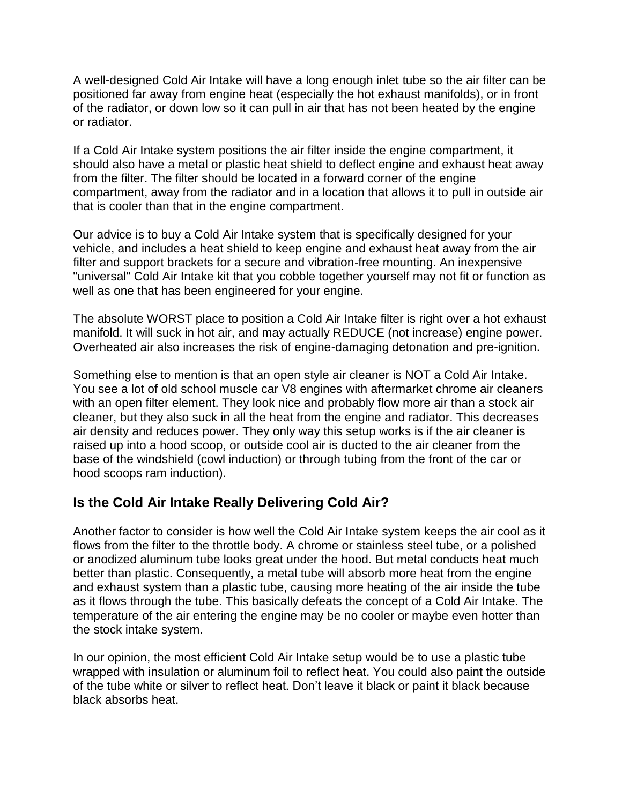A well-designed Cold Air Intake will have a long enough inlet tube so the air filter can be positioned far away from engine heat (especially the hot exhaust manifolds), or in front of the radiator, or down low so it can pull in air that has not been heated by the engine or radiator.

If a Cold Air Intake system positions the air filter inside the engine compartment, it should also have a metal or plastic heat shield to deflect engine and exhaust heat away from the filter. The filter should be located in a forward corner of the engine compartment, away from the radiator and in a location that allows it to pull in outside air that is cooler than that in the engine compartment.

Our advice is to buy a Cold Air Intake system that is specifically designed for your vehicle, and includes a heat shield to keep engine and exhaust heat away from the air filter and support brackets for a secure and vibration-free mounting. An inexpensive "universal" Cold Air Intake kit that you cobble together yourself may not fit or function as well as one that has been engineered for your engine.

The absolute WORST place to position a Cold Air Intake filter is right over a hot exhaust manifold. It will suck in hot air, and may actually REDUCE (not increase) engine power. Overheated air also increases the risk of engine-damaging detonation and pre-ignition.

Something else to mention is that an open style air cleaner is NOT a Cold Air Intake. You see a lot of old school muscle car V8 engines with aftermarket chrome air cleaners with an open filter element. They look nice and probably flow more air than a stock air cleaner, but they also suck in all the heat from the engine and radiator. This decreases air density and reduces power. They only way this setup works is if the air cleaner is raised up into a hood scoop, or outside cool air is ducted to the air cleaner from the base of the windshield (cowl induction) or through tubing from the front of the car or hood scoops ram induction).

#### **Is the Cold Air Intake Really Delivering Cold Air?**

Another factor to consider is how well the Cold Air Intake system keeps the air cool as it flows from the filter to the throttle body. A chrome or stainless steel tube, or a polished or anodized aluminum tube looks great under the hood. But metal conducts heat much better than plastic. Consequently, a metal tube will absorb more heat from the engine and exhaust system than a plastic tube, causing more heating of the air inside the tube as it flows through the tube. This basically defeats the concept of a Cold Air Intake. The temperature of the air entering the engine may be no cooler or maybe even hotter than the stock intake system.

In our opinion, the most efficient Cold Air Intake setup would be to use a plastic tube wrapped with insulation or aluminum foil to reflect heat. You could also paint the outside of the tube white or silver to reflect heat. Don't leave it black or paint it black because black absorbs heat.